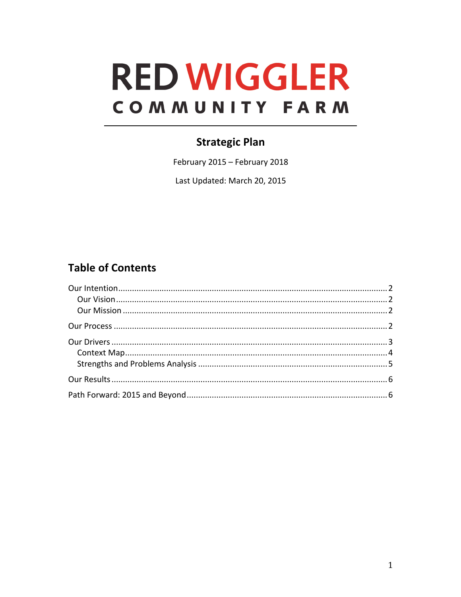# **RED WIGGLER** COMMUNITY FARM

# **Strategic Plan**

February 2015 - February 2018

Last Updated: March 20, 2015

# **Table of Contents**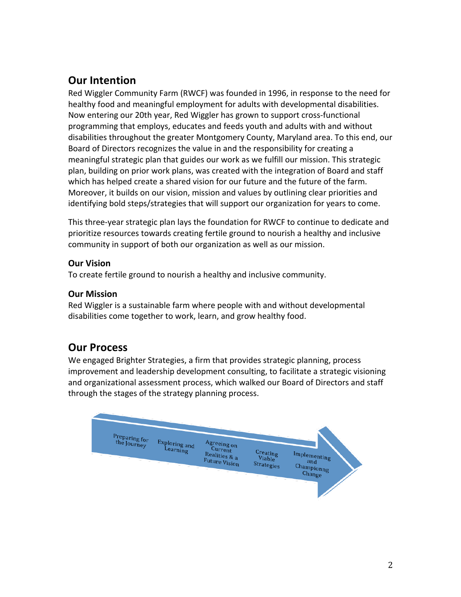# **Our Intention**

Red Wiggler Community Farm (RWCF) was founded in 1996, in response to the need for healthy food and meaningful employment for adults with developmental disabilities. Now entering our 20th year, Red Wiggler has grown to support cross-functional programming that employs, educates and feeds youth and adults with and without disabilities throughout the greater Montgomery County, Maryland area. To this end, our Board of Directors recognizes the value in and the responsibility for creating a meaningful strategic plan that guides our work as we fulfill our mission. This strategic plan, building on prior work plans, was created with the integration of Board and staff which has helped create a shared vision for our future and the future of the farm. Moreover, it builds on our vision, mission and values by outlining clear priorities and identifying bold steps/strategies that will support our organization for years to come.

This three-year strategic plan lays the foundation for RWCF to continue to dedicate and prioritize resources towards creating fertile ground to nourish a healthy and inclusive community in support of both our organization as well as our mission.

## **Our Vision**

To create fertile ground to nourish a healthy and inclusive community.

# **Our Mission**

Red Wiggler is a sustainable farm where people with and without developmental disabilities come together to work, learn, and grow healthy food.

# **Our Process**

We engaged Brighter Strategies, a firm that provides strategic planning, process improvement and leadership development consulting, to facilitate a strategic visioning and organizational assessment process, which walked our Board of Directors and staff through the stages of the strategy planning process.

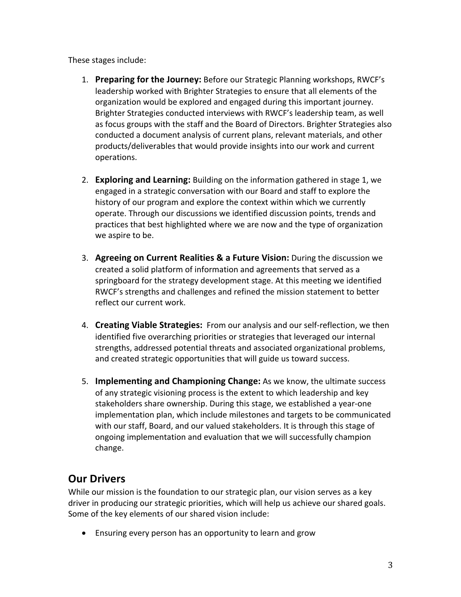These stages include:

- 1. **Preparing for the Journey:** Before our Strategic Planning workshops, RWCF's leadership worked with Brighter Strategies to ensure that all elements of the organization would be explored and engaged during this important journey. Brighter Strategies conducted interviews with RWCF's leadership team, as well as focus groups with the staff and the Board of Directors. Brighter Strategies also conducted a document analysis of current plans, relevant materials, and other products/deliverables that would provide insights into our work and current operations.
- 2. **Exploring and Learning:** Building on the information gathered in stage 1, we engaged in a strategic conversation with our Board and staff to explore the history of our program and explore the context within which we currently operate. Through our discussions we identified discussion points, trends and practices that best highlighted where we are now and the type of organization we aspire to be.
- **3. Agreeing on Current Realities & a Future Vision:** During the discussion we created a solid platform of information and agreements that served as a springboard for the strategy development stage. At this meeting we identified RWCF's strengths and challenges and refined the mission statement to better reflect our current work.
- 4. **Creating Viable Strategies:** From our analysis and our self-reflection, we then identified five overarching priorities or strategies that leveraged our internal strengths, addressed potential threats and associated organizational problems, and created strategic opportunities that will guide us toward success.
- 5. **Implementing and Championing Change:** As we know, the ultimate success of any strategic visioning process is the extent to which leadership and key stakeholders share ownership. During this stage, we established a year-one implementation plan, which include milestones and targets to be communicated with our staff, Board, and our valued stakeholders. It is through this stage of ongoing implementation and evaluation that we will successfully champion change.

# **Our Drivers**

While our mission is the foundation to our strategic plan, our vision serves as a key driver in producing our strategic priorities, which will help us achieve our shared goals. Some of the key elements of our shared vision include:

• Ensuring every person has an opportunity to learn and grow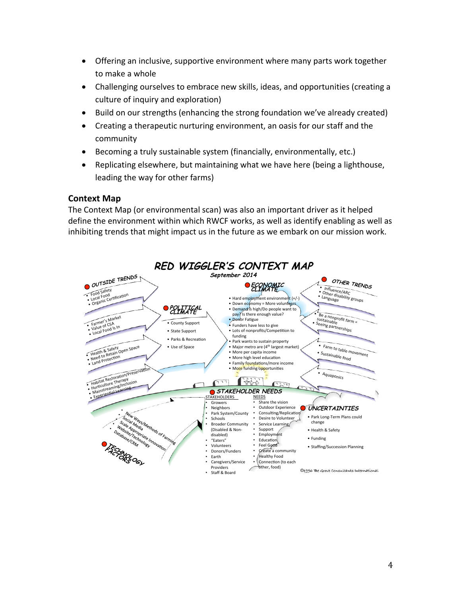- Offering an inclusive, supportive environment where many parts work together to make a whole
- Challenging ourselves to embrace new skills, ideas, and opportunities (creating a culture of inquiry and exploration)
- Build on our strengths (enhancing the strong foundation we've already created)
- Creating a therapeutic nurturing environment, an oasis for our staff and the community
- Becoming a truly sustainable system (financially, environmentally, etc.)
- Replicating elsewhere, but maintaining what we have here (being a lighthouse, leading the way for other farms)

#### **Context Map**

The Context Map (or environmental scan) was also an important driver as it helped define the environment within which RWCF works, as well as identify enabling as well as inhibiting trends that might impact us in the future as we embark on our mission work.

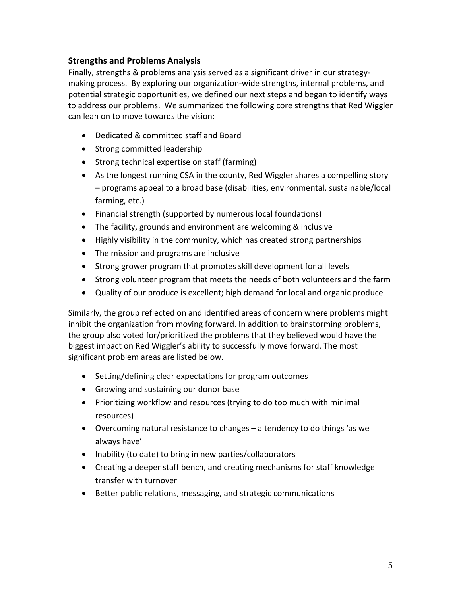## **Strengths and Problems Analysis**

Finally, strengths & problems analysis served as a significant driver in our strategymaking process. By exploring our organization-wide strengths, internal problems, and potential strategic opportunities, we defined our next steps and began to identify ways to address our problems. We summarized the following core strengths that Red Wiggler can lean on to move towards the vision:

- Dedicated & committed staff and Board
- Strong committed leadership
- Strong technical expertise on staff (farming)
- As the longest running CSA in the county, Red Wiggler shares a compelling story – programs appeal to a broad base (disabilities, environmental, sustainable/local farming, etc.)
- Financial strength (supported by numerous local foundations)
- The facility, grounds and environment are welcoming & inclusive
- Highly visibility in the community, which has created strong partnerships
- The mission and programs are inclusive
- Strong grower program that promotes skill development for all levels
- Strong volunteer program that meets the needs of both volunteers and the farm
- Quality of our produce is excellent; high demand for local and organic produce

Similarly, the group reflected on and identified areas of concern where problems might inhibit the organization from moving forward. In addition to brainstorming problems, the group also voted for/prioritized the problems that they believed would have the biggest impact on Red Wiggler's ability to successfully move forward. The most significant problem areas are listed below.

- Setting/defining clear expectations for program outcomes
- Growing and sustaining our donor base
- Prioritizing workflow and resources (trying to do too much with minimal resources)
- Overcoming natural resistance to changes a tendency to do things 'as we always have'
- Inability (to date) to bring in new parties/collaborators
- Creating a deeper staff bench, and creating mechanisms for staff knowledge transfer with turnover
- Better public relations, messaging, and strategic communications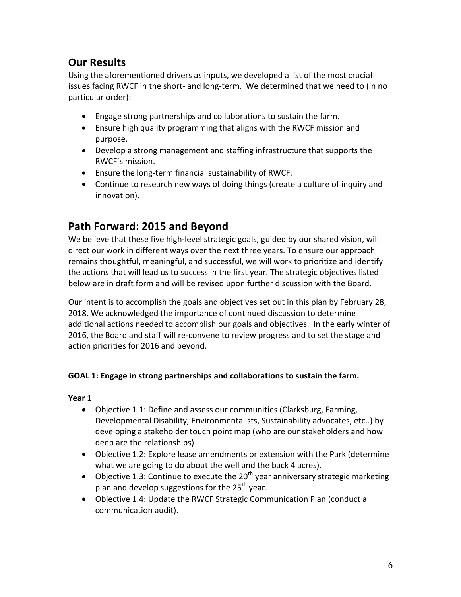# **Our Results**

Using the aforementioned drivers as inputs, we developed a list of the most crucial issues facing RWCF in the short- and long-term. We determined that we need to (in no particular order):

- Engage strong partnerships and collaborations to sustain the farm.
- Ensure high quality programming that aligns with the RWCF mission and purpose.
- Develop a strong management and staffing infrastructure that supports the RWCF's mission.
- Ensure the long-term financial sustainability of RWCF.
- Continue to research new ways of doing things (create a culture of inquiry and innovation).

# Path Forward: 2015 and Beyond

We believe that these five high-level strategic goals, guided by our shared vision, will direct our work in different ways over the next three years. To ensure our approach remains thoughtful, meaningful, and successful, we will work to prioritize and identify the actions that will lead us to success in the first year. The strategic objectives listed below are in draft form and will be revised upon further discussion with the Board.

Our intent is to accomplish the goals and objectives set out in this plan by February 28, 2018. We acknowledged the importance of continued discussion to determine additional actions needed to accomplish our goals and objectives. In the early winter of 2016, the Board and staff will re-convene to review progress and to set the stage and action priorities for 2016 and beyond.

## **GOAL 1:** Engage in strong partnerships and collaborations to sustain the farm.

- Objective 1.1: Define and assess our communities (Clarksburg, Farming, Developmental Disability, Environmentalists, Sustainability advocates, etc..) by developing a stakeholder touch point map (who are our stakeholders and how deep are the relationships)
- Objective 1.2: Explore lease amendments or extension with the Park (determine what we are going to do about the well and the back 4 acres).
- Objective 1.3: Continue to execute the  $20<sup>th</sup>$  year anniversary strategic marketing plan and develop suggestions for the  $25<sup>th</sup>$  year.
- Objective 1.4: Update the RWCF Strategic Communication Plan (conduct a communication audit).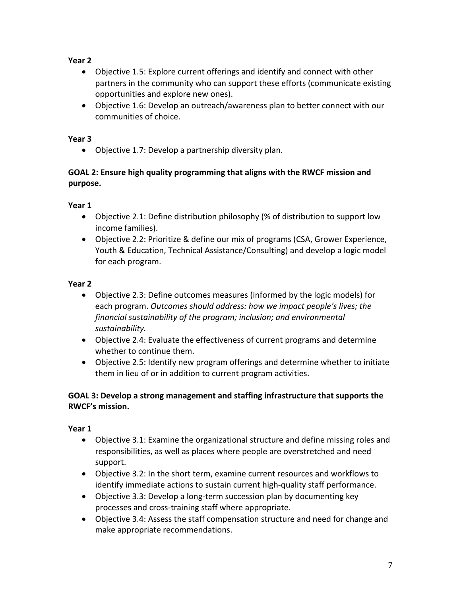## **Year 2**

- Objective 1.5: Explore current offerings and identify and connect with other partners in the community who can support these efforts (communicate existing opportunities and explore new ones).
- Objective 1.6: Develop an outreach/awareness plan to better connect with our communities of choice.

#### **Year 3**

• Objective 1.7: Develop a partnership diversity plan.

## **GOAL 2: Ensure high quality programming that aligns with the RWCF mission and purpose.**

## **Year 1**

- Objective 2.1: Define distribution philosophy (% of distribution to support low income families).
- Objective 2.2: Prioritize & define our mix of programs (CSA, Grower Experience, Youth & Education, Technical Assistance/Consulting) and develop a logic model for each program.

#### **Year 2**

- Objective 2.3: Define outcomes measures (informed by the logic models) for each program. *Outcomes should address: how we impact people's lives; the financial sustainability of the program; inclusion; and environmental sustainability.*
- Objective 2.4: Evaluate the effectiveness of current programs and determine whether to continue them.
- Objective 2.5: Identify new program offerings and determine whether to initiate them in lieu of or in addition to current program activities.

#### **GOAL 3: Develop a strong management and staffing infrastructure that supports the RWCF's mission.**

- Objective 3.1: Examine the organizational structure and define missing roles and responsibilities, as well as places where people are overstretched and need support.
- Objective 3.2: In the short term, examine current resources and workflows to identify immediate actions to sustain current high-quality staff performance.
- Objective 3.3: Develop a long-term succession plan by documenting key processes and cross-training staff where appropriate.
- Objective 3.4: Assess the staff compensation structure and need for change and make appropriate recommendations.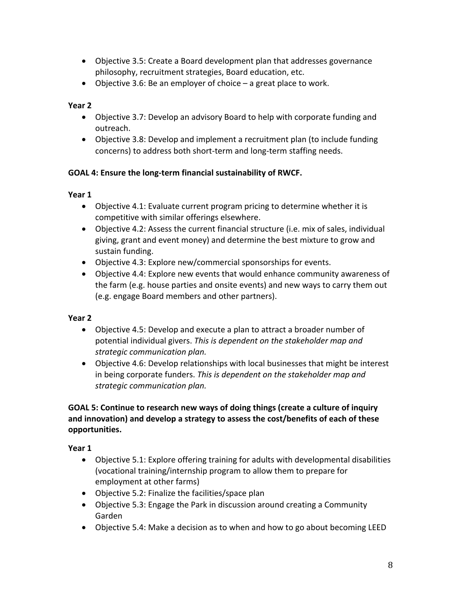- Objective 3.5: Create a Board development plan that addresses governance philosophy, recruitment strategies, Board education, etc.
- Objective 3.6: Be an employer of choice  $-$  a great place to work.

#### **Year 2**

- Objective 3.7: Develop an advisory Board to help with corporate funding and outreach.
- Objective 3.8: Develop and implement a recruitment plan (to include funding concerns) to address both short-term and long-term staffing needs.

#### **GOAL 4: Ensure the long-term financial sustainability of RWCF.**

#### **Year 1**

- Objective 4.1: Evaluate current program pricing to determine whether it is competitive with similar offerings elsewhere.
- Objective 4.2: Assess the current financial structure (i.e. mix of sales, individual giving, grant and event money) and determine the best mixture to grow and sustain funding.
- Objective 4.3: Explore new/commercial sponsorships for events.
- Objective 4.4: Explore new events that would enhance community awareness of the farm (e.g. house parties and onsite events) and new ways to carry them out (e.g. engage Board members and other partners).

#### **Year 2**

- Objective 4.5: Develop and execute a plan to attract a broader number of potential individual givers. This is dependent on the stakeholder map and *strategic communication plan.*
- Objective 4.6: Develop relationships with local businesses that might be interest in being corporate funders. This is dependent on the stakeholder map and *strategic communication plan.*

#### GOAL 5: Continue to research new ways of doing things (create a culture of inquiry and innovation) and develop a strategy to assess the cost/benefits of each of these **opportunities.**

- Objective 5.1: Explore offering training for adults with developmental disabilities (vocational training/internship program to allow them to prepare for employment at other farms)
- Objective 5.2: Finalize the facilities/space plan
- Objective 5.3: Engage the Park in discussion around creating a Community Garden
- Objective 5.4: Make a decision as to when and how to go about becoming LEED